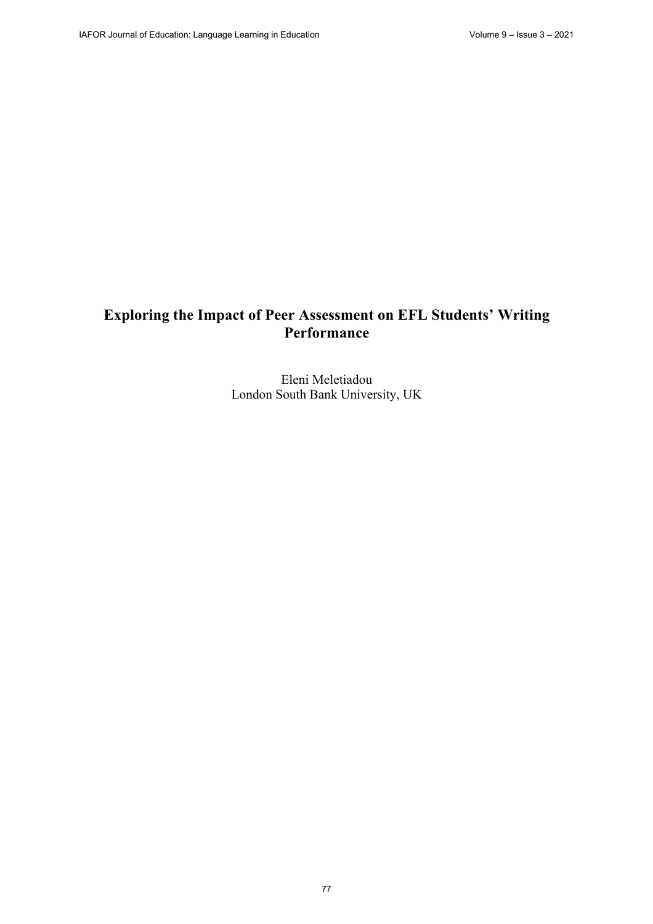# **Exploring the Impact of Peer Assessment on EFL Students' Writing Performance**

Eleni Meletiadou London South Bank University, UK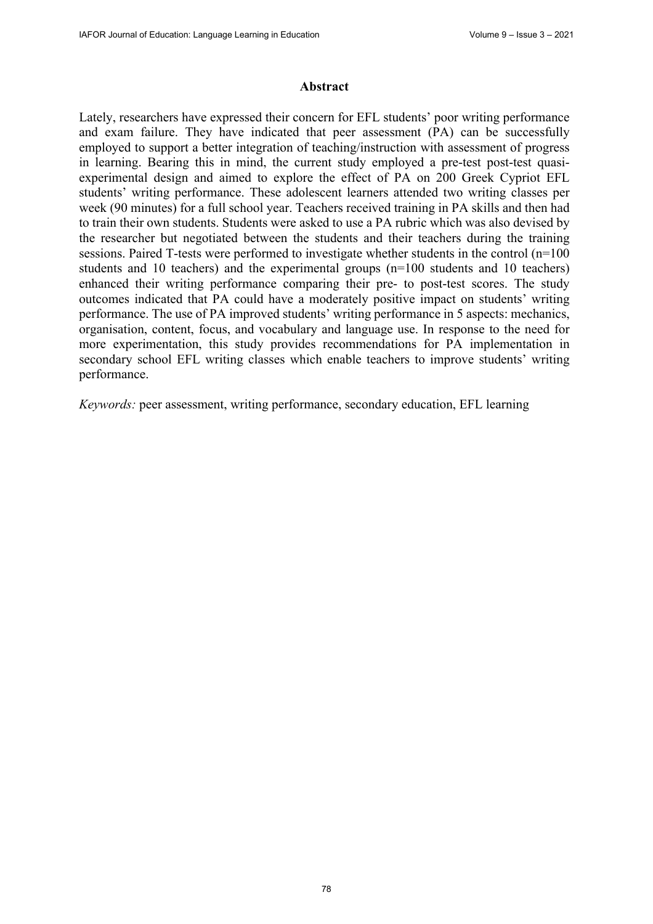#### **Abstract**

Lately, researchers have expressed their concern for EFL students' poor writing performance and exam failure. They have indicated that peer assessment (PA) can be successfully employed to support a better integration of teaching/instruction with assessment of progress in learning. Bearing this in mind, the current study employed a pre-test post-test quasiexperimental design and aimed to explore the effect of PA on 200 Greek Cypriot EFL students' writing performance. These adolescent learners attended two writing classes per week (90 minutes) for a full school year. Teachers received training in PA skills and then had to train their own students. Students were asked to use a PA rubric which was also devised by the researcher but negotiated between the students and their teachers during the training sessions. Paired T-tests were performed to investigate whether students in the control (n=100 students and 10 teachers) and the experimental groups (n=100 students and 10 teachers) enhanced their writing performance comparing their pre- to post-test scores. The study outcomes indicated that PA could have a moderately positive impact on students' writing performance. The use of PA improved students' writing performance in 5 aspects: mechanics, organisation, content, focus, and vocabulary and language use. In response to the need for more experimentation, this study provides recommendations for PA implementation in secondary school EFL writing classes which enable teachers to improve students' writing performance.

*Keywords:* peer assessment, writing performance, secondary education, EFL learning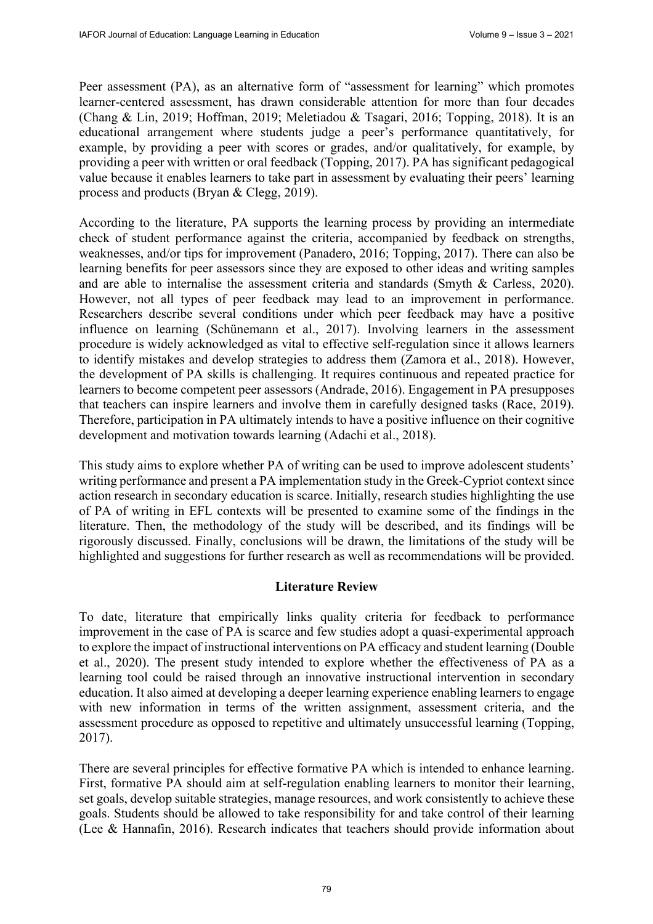Peer assessment (PA), as an alternative form of "assessment for learning" which promotes learner-centered assessment, has drawn considerable attention for more than four decades (Chang & Lin, 2019; Hoffman, 2019; Meletiadou & Tsagari, 2016; Topping, 2018). It is an educational arrangement where students judge a peer's performance quantitatively, for example, by providing a peer with scores or grades, and/or qualitatively, for example, by providing a peer with written or oral feedback (Topping, 2017). PA has significant pedagogical value because it enables learners to take part in assessment by evaluating their peers' learning process and products (Bryan & Clegg, 2019).

According to the literature, PA supports the learning process by providing an intermediate check of student performance against the criteria, accompanied by feedback on strengths, weaknesses, and/or tips for improvement (Panadero, 2016; Topping, 2017). There can also be learning benefits for peer assessors since they are exposed to other ideas and writing samples and are able to internalise the assessment criteria and standards (Smyth & Carless, 2020). However, not all types of peer feedback may lead to an improvement in performance. Researchers describe several conditions under which peer feedback may have a positive influence on learning (Schünemann et al., 2017). Involving learners in the assessment procedure is widely acknowledged as vital to effective self-regulation since it allows learners to identify mistakes and develop strategies to address them (Zamora et al., 2018). However, the development of PA skills is challenging. It requires continuous and repeated practice for learners to become competent peer assessors (Andrade, 2016). Engagement in PA presupposes that teachers can inspire learners and involve them in carefully designed tasks (Race, 2019). Therefore, participation in PA ultimately intends to have a positive influence on their cognitive development and motivation towards learning (Adachi et al., 2018).

This study aims to explore whether PA of writing can be used to improve adolescent students' writing performance and present a PA implementation study in the Greek-Cypriot context since action research in secondary education is scarce. Initially, research studies highlighting the use of PA of writing in EFL contexts will be presented to examine some of the findings in the literature. Then, the methodology of the study will be described, and its findings will be rigorously discussed. Finally, conclusions will be drawn, the limitations of the study will be highlighted and suggestions for further research as well as recommendations will be provided.

#### **Literature Review**

To date, literature that empirically links quality criteria for feedback to performance improvement in the case of PA is scarce and few studies adopt a quasi-experimental approach to explore the impact of instructional interventions on PA efficacy and student learning (Double et al., 2020). The present study intended to explore whether the effectiveness of PA as a learning tool could be raised through an innovative instructional intervention in secondary education. It also aimed at developing a deeper learning experience enabling learners to engage with new information in terms of the written assignment, assessment criteria, and the assessment procedure as opposed to repetitive and ultimately unsuccessful learning (Topping, 2017).

There are several principles for effective formative PA which is intended to enhance learning. First, formative PA should aim at self-regulation enabling learners to monitor their learning, set goals, develop suitable strategies, manage resources, and work consistently to achieve these goals. Students should be allowed to take responsibility for and take control of their learning (Lee & Hannafin, 2016). Research indicates that teachers should provide information about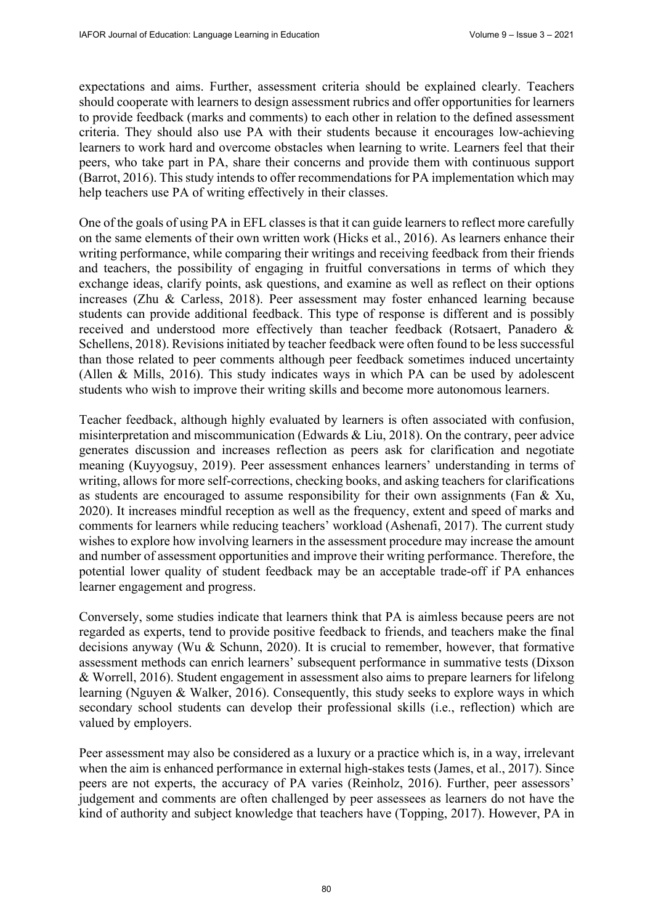expectations and aims. Further, assessment criteria should be explained clearly. Teachers should cooperate with learners to design assessment rubrics and offer opportunities for learners to provide feedback (marks and comments) to each other in relation to the defined assessment criteria. They should also use PA with their students because it encourages low-achieving learners to work hard and overcome obstacles when learning to write. Learners feel that their peers, who take part in PA, share their concerns and provide them with continuous support (Barrot, 2016). This study intends to offer recommendations for PA implementation which may help teachers use PA of writing effectively in their classes.

One of the goals of using PA in EFL classes is that it can guide learners to reflect more carefully on the same elements of their own written work (Hicks et al., 2016). As learners enhance their writing performance, while comparing their writings and receiving feedback from their friends and teachers, the possibility of engaging in fruitful conversations in terms of which they exchange ideas, clarify points, ask questions, and examine as well as reflect on their options increases (Zhu & Carless, 2018). Peer assessment may foster enhanced learning because students can provide additional feedback. This type of response is different and is possibly received and understood more effectively than teacher feedback (Rotsaert, Panadero & Schellens, 2018). Revisions initiated by teacher feedback were often found to be less successful than those related to peer comments although peer feedback sometimes induced uncertainty (Allen & Mills, 2016). This study indicates ways in which PA can be used by adolescent students who wish to improve their writing skills and become more autonomous learners.

Teacher feedback, although highly evaluated by learners is often associated with confusion, misinterpretation and miscommunication (Edwards & Liu, 2018). On the contrary, peer advice generates discussion and increases reflection as peers ask for clarification and negotiate meaning (Kuyyogsuy, 2019). Peer assessment enhances learners' understanding in terms of writing, allows for more self-corrections, checking books, and asking teachers for clarifications as students are encouraged to assume responsibility for their own assignments (Fan & Xu, 2020). It increases mindful reception as well as the frequency, extent and speed of marks and comments for learners while reducing teachers' workload (Ashenafi, 2017). The current study wishes to explore how involving learners in the assessment procedure may increase the amount and number of assessment opportunities and improve their writing performance. Therefore, the potential lower quality of student feedback may be an acceptable trade-off if PA enhances learner engagement and progress.

Conversely, some studies indicate that learners think that PA is aimless because peers are not regarded as experts, tend to provide positive feedback to friends, and teachers make the final decisions anyway (Wu & Schunn, 2020). It is crucial to remember, however, that formative assessment methods can enrich learners' subsequent performance in summative tests (Dixson & Worrell, 2016). Student engagement in assessment also aims to prepare learners for lifelong learning (Nguyen & Walker, 2016). Consequently, this study seeks to explore ways in which secondary school students can develop their professional skills (i.e., reflection) which are valued by employers.

Peer assessment may also be considered as a luxury or a practice which is, in a way, irrelevant when the aim is enhanced performance in external high-stakes tests (James, et al., 2017). Since peers are not experts, the accuracy of PA varies (Reinholz, 2016). Further, peer assessors' judgement and comments are often challenged by peer assessees as learners do not have the kind of authority and subject knowledge that teachers have (Topping, 2017). However, PA in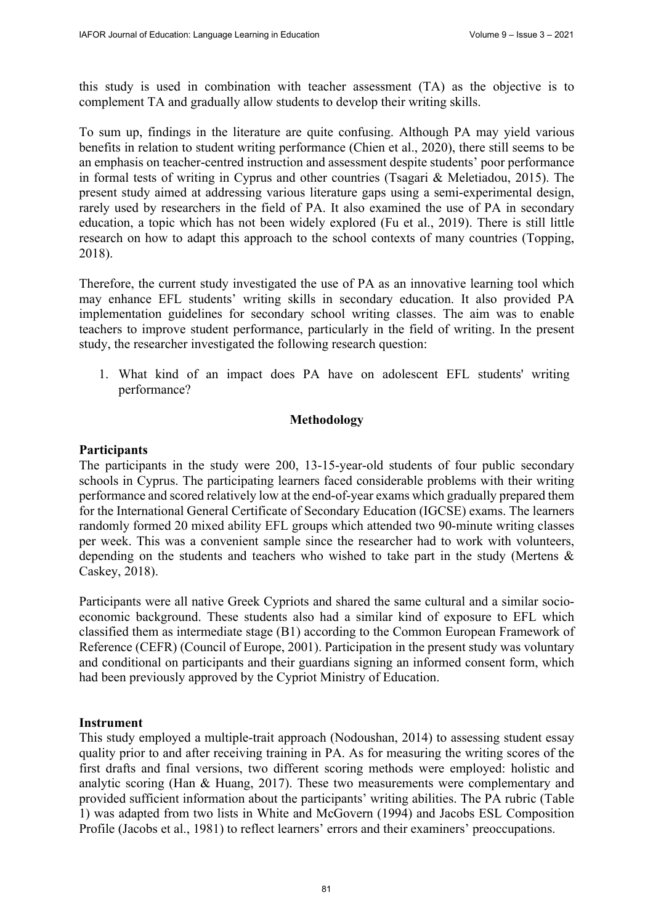this study is used in combination with teacher assessment (TA) as the objective is to complement TA and gradually allow students to develop their writing skills.

To sum up, findings in the literature are quite confusing. Although PA may yield various benefits in relation to student writing performance (Chien et al., 2020), there still seems to be an emphasis on teacher-centred instruction and assessment despite students' poor performance in formal tests of writing in Cyprus and other countries (Tsagari & Meletiadou, 2015). The present study aimed at addressing various literature gaps using a semi-experimental design, rarely used by researchers in the field of PA. It also examined the use of PA in secondary education, a topic which has not been widely explored (Fu et al., 2019). There is still little research on how to adapt this approach to the school contexts of many countries (Topping, 2018).

Therefore, the current study investigated the use of PA as an innovative learning tool which may enhance EFL students' writing skills in secondary education. It also provided PA implementation guidelines for secondary school writing classes. The aim was to enable teachers to improve student performance, particularly in the field of writing. In the present study, the researcher investigated the following research question:

1. What kind of an impact does PA have on adolescent EFL students' writing performance?

#### **Methodology**

#### **Participants**

The participants in the study were 200, 13-15-year-old students of four public secondary schools in Cyprus. The participating learners faced considerable problems with their writing performance and scored relatively low at the end-of-year exams which gradually prepared them for the International General Certificate of Secondary Education (IGCSE) exams. The learners randomly formed 20 mixed ability EFL groups which attended two 90-minute writing classes per week. This was a convenient sample since the researcher had to work with volunteers, depending on the students and teachers who wished to take part in the study (Mertens & Caskey, 2018).

Participants were all native Greek Cypriots and shared the same cultural and a similar socioeconomic background. These students also had a similar kind of exposure to EFL which classified them as intermediate stage (B1) according to the Common European Framework of Reference (CEFR) (Council of Europe, 2001). Participation in the present study was voluntary and conditional on participants and their guardians signing an informed consent form, which had been previously approved by the Cypriot Ministry of Education.

#### **Instrument**

This study employed a multiple-trait approach (Nodoushan, 2014) to assessing student essay quality prior to and after receiving training in PA. As for measuring the writing scores of the first drafts and final versions, two different scoring methods were employed: holistic and analytic scoring (Han & Huang, 2017). These two measurements were complementary and provided sufficient information about the participants' writing abilities. The PA rubric (Table 1) was adapted from two lists in White and McGovern (1994) and Jacobs ESL Composition Profile (Jacobs et al., 1981) to reflect learners' errors and their examiners' preoccupations.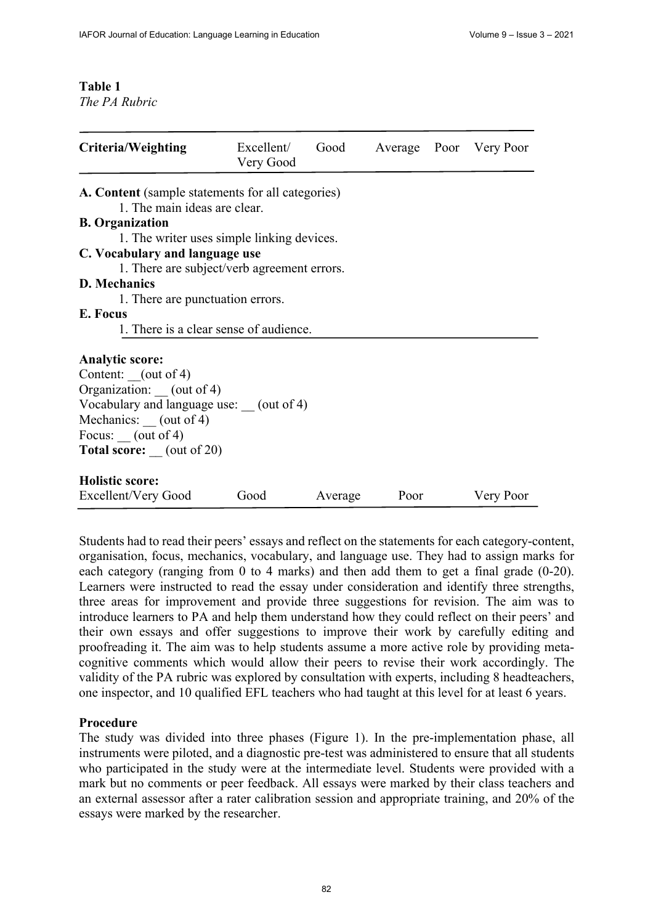# **Table 1**

*The PA Rubric* 

| Criteria/Weighting                                                                | Excellent/<br>Very Good | Good    |      |  | Average Poor Very Poor |  |  |
|-----------------------------------------------------------------------------------|-------------------------|---------|------|--|------------------------|--|--|
| A. Content (sample statements for all categories)<br>1. The main ideas are clear. |                         |         |      |  |                        |  |  |
| <b>B.</b> Organization                                                            |                         |         |      |  |                        |  |  |
| 1. The writer uses simple linking devices.                                        |                         |         |      |  |                        |  |  |
| C. Vocabulary and language use                                                    |                         |         |      |  |                        |  |  |
| 1. There are subject/verb agreement errors.                                       |                         |         |      |  |                        |  |  |
| <b>D.</b> Mechanics                                                               |                         |         |      |  |                        |  |  |
| 1. There are punctuation errors.                                                  |                         |         |      |  |                        |  |  |
| E. Focus                                                                          |                         |         |      |  |                        |  |  |
| 1. There is a clear sense of audience.                                            |                         |         |      |  |                        |  |  |
|                                                                                   |                         |         |      |  |                        |  |  |
| <b>Analytic score:</b>                                                            |                         |         |      |  |                        |  |  |
| Content: $(out 4)$<br>Organization: (out of 4)                                    |                         |         |      |  |                        |  |  |
| Vocabulary and language use: (out of 4)                                           |                         |         |      |  |                        |  |  |
| Mechanics: (out of 4)                                                             |                         |         |      |  |                        |  |  |
| Focus: $\qquad$ (out of 4)                                                        |                         |         |      |  |                        |  |  |
| <b>Total score:</b> (out of 20)                                                   |                         |         |      |  |                        |  |  |
|                                                                                   |                         |         |      |  |                        |  |  |
| <b>Holistic score:</b>                                                            |                         |         |      |  |                        |  |  |
| Excellent/Very Good                                                               | Good                    | Average | Poor |  | Very Poor              |  |  |

Students had to read their peers' essays and reflect on the statements for each category-content, organisation, focus, mechanics, vocabulary, and language use. They had to assign marks for each category (ranging from 0 to 4 marks) and then add them to get a final grade (0-20). Learners were instructed to read the essay under consideration and identify three strengths, three areas for improvement and provide three suggestions for revision. The aim was to introduce learners to PA and help them understand how they could reflect on their peers' and their own essays and offer suggestions to improve their work by carefully editing and proofreading it. The aim was to help students assume a more active role by providing metacognitive comments which would allow their peers to revise their work accordingly. The validity of the PA rubric was explored by consultation with experts, including 8 headteachers, one inspector, and 10 qualified EFL teachers who had taught at this level for at least 6 years.

# **Procedure**

The study was divided into three phases (Figure 1). In the pre-implementation phase, all instruments were piloted, and a diagnostic pre-test was administered to ensure that all students who participated in the study were at the intermediate level. Students were provided with a mark but no comments or peer feedback. All essays were marked by their class teachers and an external assessor after a rater calibration session and appropriate training, and 20% of the essays were marked by the researcher.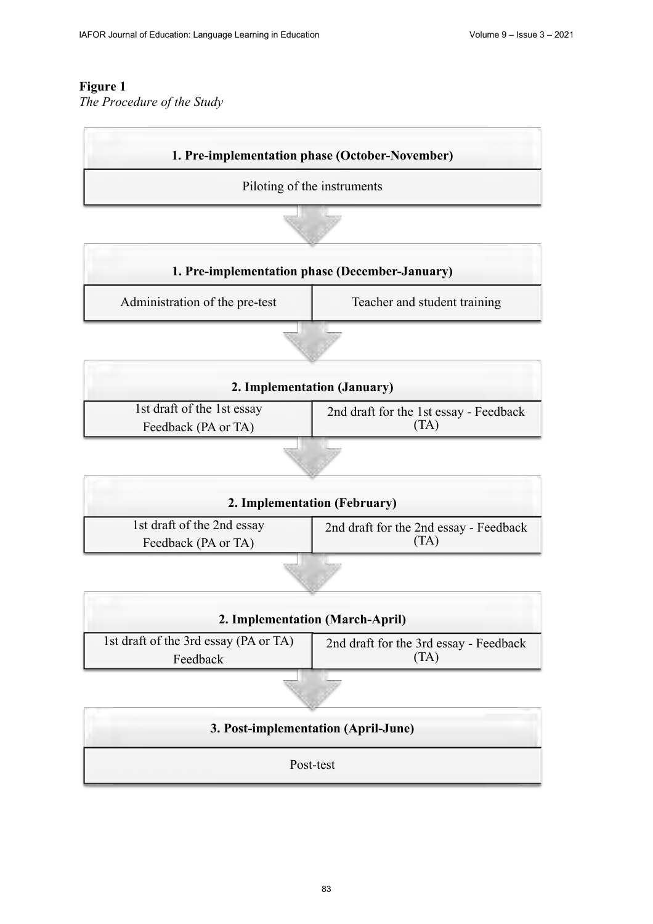# **Figure 1**

*The Procedure of the Study* 

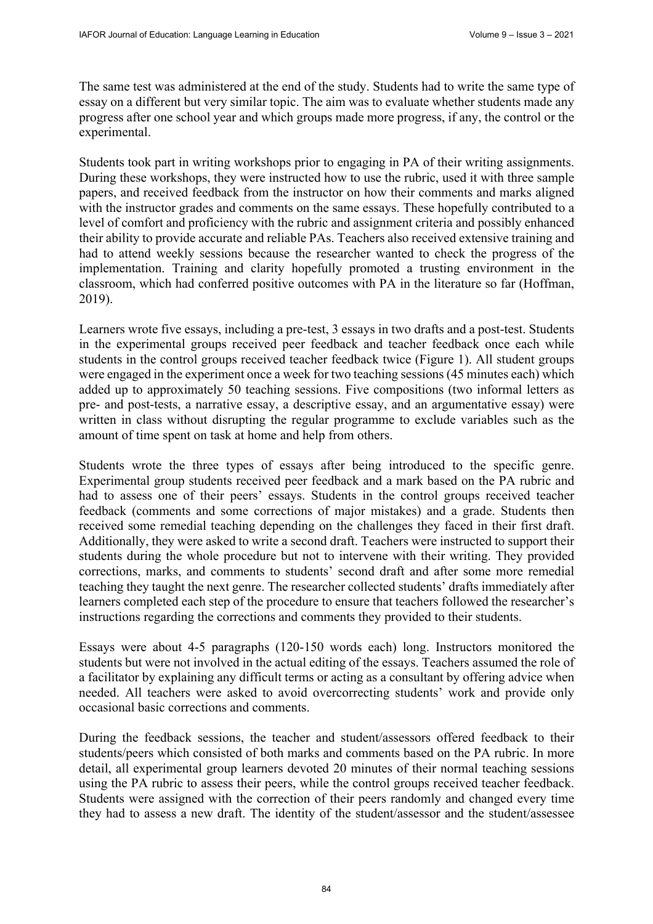The same test was administered at the end of the study. Students had to write the same type of essay on a different but very similar topic. The aim was to evaluate whether students made any progress after one school year and which groups made more progress, if any, the control or the experimental.

Students took part in writing workshops prior to engaging in PA of their writing assignments. During these workshops, they were instructed how to use the rubric, used it with three sample papers, and received feedback from the instructor on how their comments and marks aligned with the instructor grades and comments on the same essays. These hopefully contributed to a level of comfort and proficiency with the rubric and assignment criteria and possibly enhanced their ability to provide accurate and reliable PAs. Teachers also received extensive training and had to attend weekly sessions because the researcher wanted to check the progress of the implementation. Training and clarity hopefully promoted a trusting environment in the classroom, which had conferred positive outcomes with PA in the literature so far (Hoffman, 2019).

Learners wrote five essays, including a pre-test, 3 essays in two drafts and a post-test. Students in the experimental groups received peer feedback and teacher feedback once each while students in the control groups received teacher feedback twice (Figure 1). All student groups were engaged in the experiment once a week for two teaching sessions (45 minutes each) which added up to approximately 50 teaching sessions. Five compositions (two informal letters as pre- and post-tests, a narrative essay, a descriptive essay, and an argumentative essay) were written in class without disrupting the regular programme to exclude variables such as the amount of time spent on task at home and help from others.

Students wrote the three types of essays after being introduced to the specific genre. Experimental group students received peer feedback and a mark based on the PA rubric and had to assess one of their peers' essays. Students in the control groups received teacher feedback (comments and some corrections of major mistakes) and a grade. Students then received some remedial teaching depending on the challenges they faced in their first draft. Additionally, they were asked to write a second draft. Teachers were instructed to support their students during the whole procedure but not to intervene with their writing. They provided corrections, marks, and comments to students' second draft and after some more remedial teaching they taught the next genre. The researcher collected students' drafts immediately after learners completed each step of the procedure to ensure that teachers followed the researcher's instructions regarding the corrections and comments they provided to their students.

Essays were about 4-5 paragraphs (120-150 words each) long. Instructors monitored the students but were not involved in the actual editing of the essays. Teachers assumed the role of a facilitator by explaining any difficult terms or acting as a consultant by offering advice when needed. All teachers were asked to avoid overcorrecting students' work and provide only occasional basic corrections and comments.

During the feedback sessions, the teacher and student/assessors offered feedback to their students/peers which consisted of both marks and comments based on the PA rubric. In more detail, all experimental group learners devoted 20 minutes of their normal teaching sessions using the PA rubric to assess their peers, while the control groups received teacher feedback. Students were assigned with the correction of their peers randomly and changed every time they had to assess a new draft. The identity of the student/assessor and the student/assessee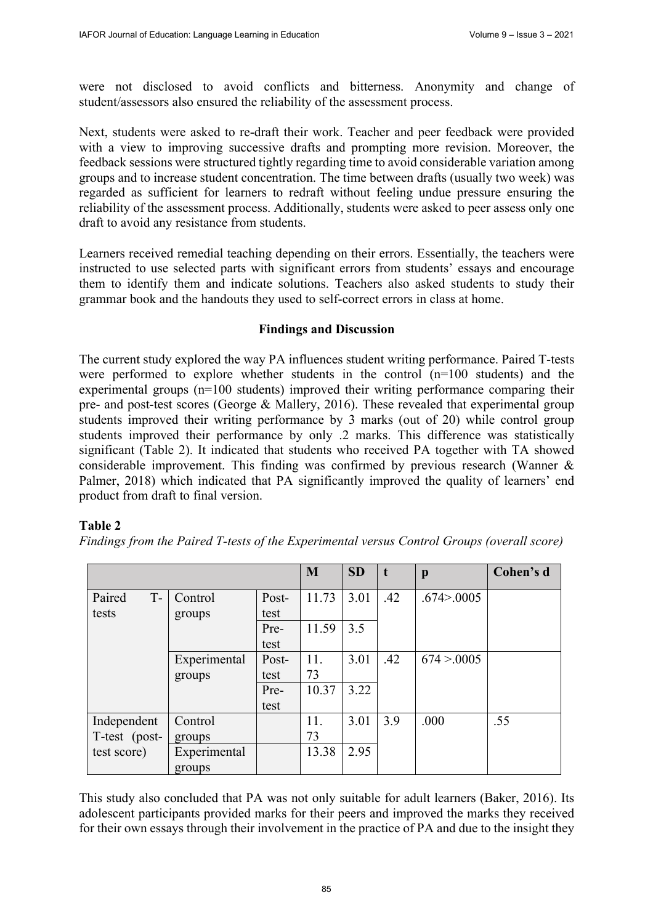were not disclosed to avoid conflicts and bitterness. Anonymity and change of student/assessors also ensured the reliability of the assessment process.

Next, students were asked to re-draft their work. Teacher and peer feedback were provided with a view to improving successive drafts and prompting more revision. Moreover, the feedback sessions were structured tightly regarding time to avoid considerable variation among groups and to increase student concentration. The time between drafts (usually two week) was regarded as sufficient for learners to redraft without feeling undue pressure ensuring the reliability of the assessment process. Additionally, students were asked to peer assess only one draft to avoid any resistance from students.

Learners received remedial teaching depending on their errors. Essentially, the teachers were instructed to use selected parts with significant errors from students' essays and encourage them to identify them and indicate solutions. Teachers also asked students to study their grammar book and the handouts they used to self-correct errors in class at home.

# **Findings and Discussion**

The current study explored the way PA influences student writing performance. Paired T-tests were performed to explore whether students in the control (n=100 students) and the experimental groups (n=100 students) improved their writing performance comparing their pre- and post-test scores (George & Mallery, 2016). These revealed that experimental group students improved their writing performance by 3 marks (out of 20) while control group students improved their performance by only .2 marks. This difference was statistically significant (Table 2). It indicated that students who received PA together with TA showed considerable improvement. This finding was confirmed by previous research (Wanner & Palmer, 2018) which indicated that PA significantly improved the quality of learners' end product from draft to final version.

# **Table 2**

*Findings from the Paired T-tests of the Experimental versus Control Groups (overall score)* 

|                 |              |       | M     | <b>SD</b> | t   | $\mathbf{p}$      | Cohen's d |
|-----------------|--------------|-------|-------|-----------|-----|-------------------|-----------|
| Paired<br>$T -$ | Control      | Post- | 11.73 | 3.01      | .42 | $.674$ $> 0.0005$ |           |
| tests           | groups       | test  |       |           |     |                   |           |
|                 |              | Pre-  | 11.59 | 3.5       |     |                   |           |
|                 |              | test  |       |           |     |                   |           |
|                 | Experimental | Post- | 11.   | 3.01      | .42 | 674 > 0.0005      |           |
|                 | groups       | test  | 73    |           |     |                   |           |
|                 |              | Pre-  | 10.37 | 3.22      |     |                   |           |
|                 |              | test  |       |           |     |                   |           |
| Independent     | Control      |       | 11.   | 3.01      | 3.9 | .000              | .55       |
| T-test (post-   | groups       |       | 73    |           |     |                   |           |
| test score)     | Experimental |       | 13.38 | 2.95      |     |                   |           |
|                 | groups       |       |       |           |     |                   |           |

This study also concluded that PA was not only suitable for adult learners (Baker, 2016). Its adolescent participants provided marks for their peers and improved the marks they received for their own essays through their involvement in the practice of PA and due to the insight they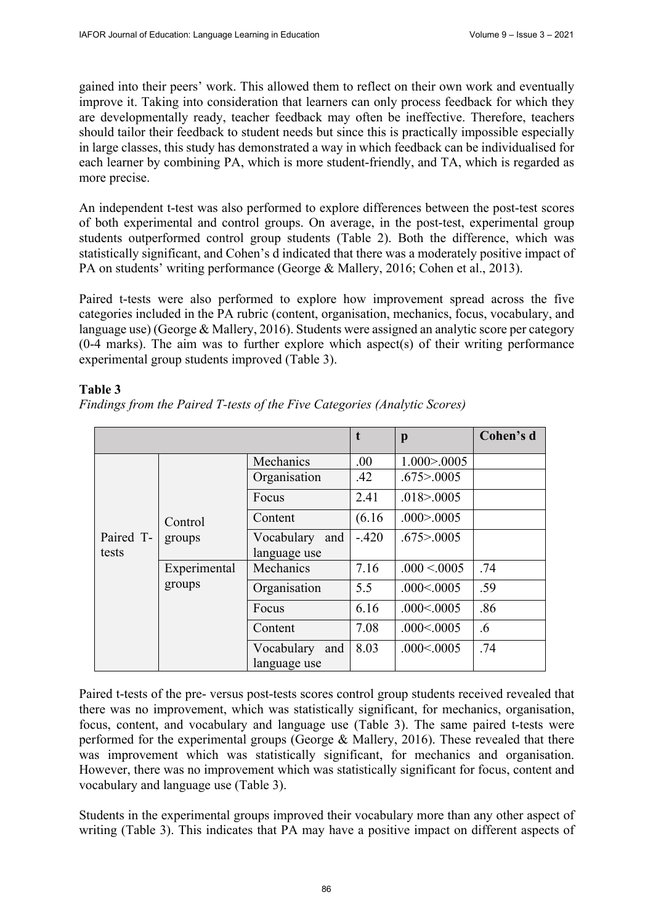gained into their peers' work. This allowed them to reflect on their own work and eventually improve it. Taking into consideration that learners can only process feedback for which they are developmentally ready, teacher feedback may often be ineffective. Therefore, teachers should tailor their feedback to student needs but since this is practically impossible especially in large classes, this study has demonstrated a way in which feedback can be individualised for each learner by combining PA, which is more student-friendly, and TA, which is regarded as more precise.

An independent t-test was also performed to explore differences between the post-test scores of both experimental and control groups. On average, in the post-test, experimental group students outperformed control group students (Table 2). Both the difference, which was statistically significant, and Cohen's d indicated that there was a moderately positive impact of PA on students' writing performance (George & Mallery, 2016; Cohen et al., 2013).

Paired t-tests were also performed to explore how improvement spread across the five categories included in the PA rubric (content, organisation, mechanics, focus, vocabulary, and language use) (George & Mallery, 2016). Students were assigned an analytic score per category (0-4 marks). The aim was to further explore which aspect(s) of their writing performance experimental group students improved (Table 3).

# **Table 3**

|           |                        |                                | $\mathbf t$ | p                 | Cohen's d |
|-----------|------------------------|--------------------------------|-------------|-------------------|-----------|
|           | Control                | Mechanics                      | .00.        | 1.000 > 0.0005    |           |
|           |                        | Organisation                   | .42         | $.675$ $> 0.0005$ |           |
|           |                        | Focus                          | 2.41        | .018 > .0005      |           |
|           |                        | Content                        | (6.16)      | $.000$ $> 0.005$  |           |
| Paired T- | groups                 | Vocabulary and                 | $-.420$     | $.675$ $> 0.0005$ |           |
| tests     |                        | language use                   |             |                   |           |
|           | Experimental<br>groups | Mechanics                      | 7.16        | .000 < .0005      | .74       |
|           |                        | Organisation                   | 5.5         | .000<0.005        | .59       |
|           |                        | Focus                          | 6.16        | .000<0.0005       | .86       |
|           |                        | Content                        | 7.08        | .000<0.0005       | .6        |
|           |                        | Vocabulary and<br>language use | 8.03        | .000<0.0005       | .74       |

*Findings from the Paired T-tests of the Five Categories (Analytic Scores)* 

Paired t-tests of the pre- versus post-tests scores control group students received revealed that there was no improvement, which was statistically significant, for mechanics, organisation, focus, content, and vocabulary and language use (Table 3). The same paired t-tests were performed for the experimental groups (George & Mallery, 2016). These revealed that there was improvement which was statistically significant, for mechanics and organisation. However, there was no improvement which was statistically significant for focus, content and vocabulary and language use (Table 3).

Students in the experimental groups improved their vocabulary more than any other aspect of writing (Table 3). This indicates that PA may have a positive impact on different aspects of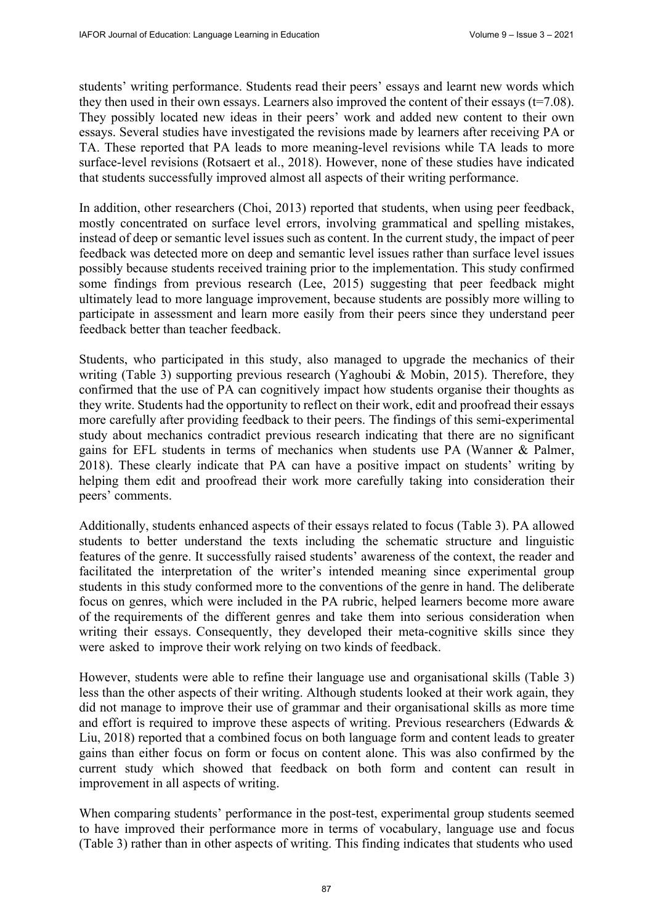students' writing performance. Students read their peers' essays and learnt new words which they then used in their own essays. Learners also improved the content of their essays  $(t=7.08)$ . They possibly located new ideas in their peers' work and added new content to their own essays. Several studies have investigated the revisions made by learners after receiving PA or TA. These reported that PA leads to more meaning-level revisions while TA leads to more surface-level revisions (Rotsaert et al., 2018). However, none of these studies have indicated that students successfully improved almost all aspects of their writing performance.

In addition, other researchers (Choi, 2013) reported that students, when using peer feedback, mostly concentrated on surface level errors, involving grammatical and spelling mistakes, instead of deep or semantic level issues such as content. In the current study, the impact of peer feedback was detected more on deep and semantic level issues rather than surface level issues possibly because students received training prior to the implementation. This study confirmed some findings from previous research (Lee, 2015) suggesting that peer feedback might ultimately lead to more language improvement, because students are possibly more willing to participate in assessment and learn more easily from their peers since they understand peer feedback better than teacher feedback.

Students, who participated in this study, also managed to upgrade the mechanics of their writing (Table 3) supporting previous research (Yaghoubi & Mobin, 2015). Therefore, they confirmed that the use of PA can cognitively impact how students organise their thoughts as they write. Students had the opportunity to reflect on their work, edit and proofread their essays more carefully after providing feedback to their peers. The findings of this semi-experimental study about mechanics contradict previous research indicating that there are no significant gains for EFL students in terms of mechanics when students use PA (Wanner & Palmer, 2018). These clearly indicate that PA can have a positive impact on students' writing by helping them edit and proofread their work more carefully taking into consideration their peers' comments.

Additionally, students enhanced aspects of their essays related to focus (Table 3). PA allowed students to better understand the texts including the schematic structure and linguistic features of the genre. It successfully raised students' awareness of the context, the reader and facilitated the interpretation of the writer's intended meaning since experimental group students in this study conformed more to the conventions of the genre in hand. The deliberate focus on genres, which were included in the PA rubric, helped learners become more aware of the requirements of the different genres and take them into serious consideration when writing their essays. Consequently, they developed their meta-cognitive skills since they were asked to improve their work relying on two kinds of feedback.

However, students were able to refine their language use and organisational skills (Table 3) less than the other aspects of their writing. Although students looked at their work again, they did not manage to improve their use of grammar and their organisational skills as more time and effort is required to improve these aspects of writing. Previous researchers (Edwards & Liu, 2018) reported that a combined focus on both language form and content leads to greater gains than either focus on form or focus on content alone. This was also confirmed by the current study which showed that feedback on both form and content can result in improvement in all aspects of writing.

When comparing students' performance in the post-test, experimental group students seemed to have improved their performance more in terms of vocabulary, language use and focus (Table 3) rather than in other aspects of writing. This finding indicates that students who used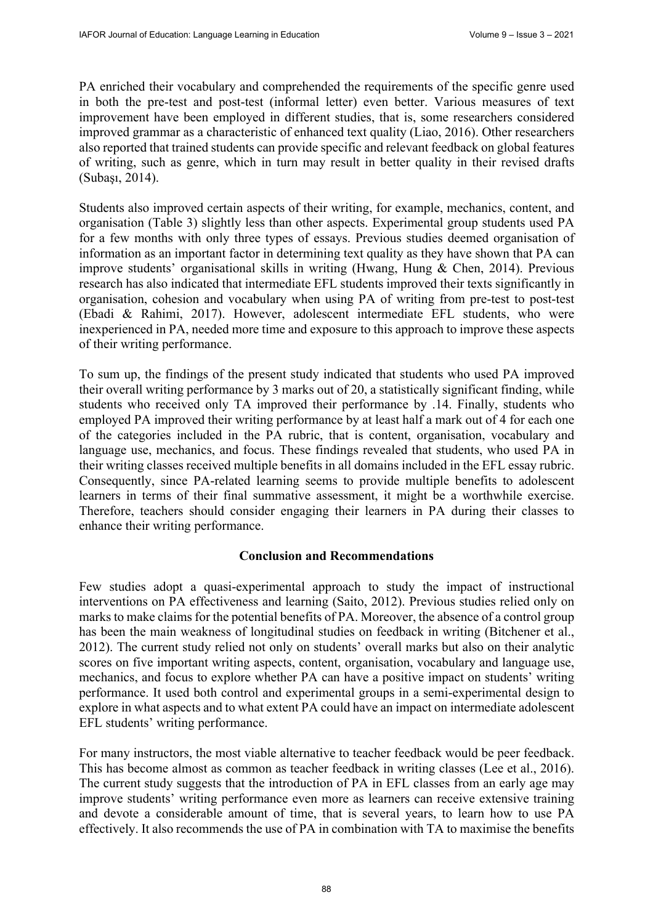PA enriched their vocabulary and comprehended the requirements of the specific genre used in both the pre-test and post-test (informal letter) even better. Various measures of text improvement have been employed in different studies, that is, some researchers considered improved grammar as a characteristic of enhanced text quality (Liao, 2016). Other researchers also reported that trained students can provide specific and relevant feedback on global features of writing, such as genre, which in turn may result in better quality in their revised drafts (Subaşı, 2014).

Students also improved certain aspects of their writing, for example, mechanics, content, and organisation (Table 3) slightly less than other aspects. Experimental group students used PA for a few months with only three types of essays. Previous studies deemed organisation of information as an important factor in determining text quality as they have shown that PA can improve students' organisational skills in writing (Hwang, Hung & Chen, 2014). Previous research has also indicated that intermediate EFL students improved their texts significantly in organisation, cohesion and vocabulary when using PA of writing from pre-test to post-test (Ebadi & Rahimi, 2017). However, adolescent intermediate EFL students, who were inexperienced in PA, needed more time and exposure to this approach to improve these aspects of their writing performance.

To sum up, the findings of the present study indicated that students who used PA improved their overall writing performance by 3 marks out of 20, a statistically significant finding, while students who received only TA improved their performance by .14. Finally, students who employed PA improved their writing performance by at least half a mark out of 4 for each one of the categories included in the PA rubric, that is content, organisation, vocabulary and language use, mechanics, and focus. These findings revealed that students, who used PA in their writing classes received multiple benefits in all domains included in the EFL essay rubric. Consequently, since PA-related learning seems to provide multiple benefits to adolescent learners in terms of their final summative assessment, it might be a worthwhile exercise. Therefore, teachers should consider engaging their learners in PA during their classes to enhance their writing performance.

#### **Conclusion and Recommendations**

Few studies adopt a quasi-experimental approach to study the impact of instructional interventions on PA effectiveness and learning (Saito, 2012). Previous studies relied only on marks to make claims for the potential benefits of PA. Moreover, the absence of a control group has been the main weakness of longitudinal studies on feedback in writing (Bitchener et al., 2012). The current study relied not only on students' overall marks but also on their analytic scores on five important writing aspects, content, organisation, vocabulary and language use, mechanics, and focus to explore whether PA can have a positive impact on students' writing performance. It used both control and experimental groups in a semi-experimental design to explore in what aspects and to what extent PA could have an impact on intermediate adolescent EFL students' writing performance.

For many instructors, the most viable alternative to teacher feedback would be peer feedback. This has become almost as common as teacher feedback in writing classes (Lee et al., 2016). The current study suggests that the introduction of PA in EFL classes from an early age may improve students' writing performance even more as learners can receive extensive training and devote a considerable amount of time, that is several years, to learn how to use PA effectively. It also recommends the use of PA in combination with TA to maximise the benefits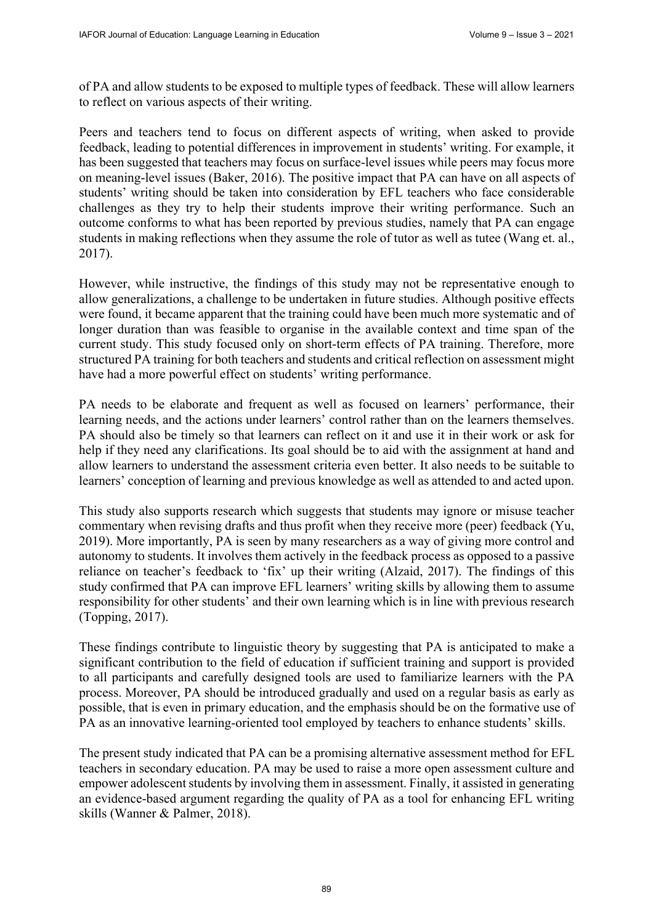of PA and allow students to be exposed to multiple types of feedback. These will allow learners to reflect on various aspects of their writing.

Peers and teachers tend to focus on different aspects of writing, when asked to provide feedback, leading to potential differences in improvement in students' writing. For example, it has been suggested that teachers may focus on surface-level issues while peers may focus more on meaning-level issues (Baker, 2016). The positive impact that PA can have on all aspects of students' writing should be taken into consideration by EFL teachers who face considerable challenges as they try to help their students improve their writing performance. Such an outcome conforms to what has been reported by previous studies, namely that PA can engage students in making reflections when they assume the role of tutor as well as tutee (Wang et. al., 2017).

However, while instructive, the findings of this study may not be representative enough to allow generalizations, a challenge to be undertaken in future studies. Although positive effects were found, it became apparent that the training could have been much more systematic and of longer duration than was feasible to organise in the available context and time span of the current study. This study focused only on short-term effects of PA training. Therefore, more structured PA training for both teachers and students and critical reflection on assessment might have had a more powerful effect on students' writing performance.

PA needs to be elaborate and frequent as well as focused on learners' performance, their learning needs, and the actions under learners' control rather than on the learners themselves. PA should also be timely so that learners can reflect on it and use it in their work or ask for help if they need any clarifications. Its goal should be to aid with the assignment at hand and allow learners to understand the assessment criteria even better. It also needs to be suitable to learners' conception of learning and previous knowledge as well as attended to and acted upon.

This study also supports research which suggests that students may ignore or misuse teacher commentary when revising drafts and thus profit when they receive more (peer) feedback (Yu, 2019). More importantly, PA is seen by many researchers as a way of giving more control and autonomy to students. It involves them actively in the feedback process as opposed to a passive reliance on teacher's feedback to 'fix' up their writing (Alzaid, 2017). The findings of this study confirmed that PA can improve EFL learners' writing skills by allowing them to assume responsibility for other students' and their own learning which is in line with previous research (Topping, 2017).

These findings contribute to linguistic theory by suggesting that PA is anticipated to make a significant contribution to the field of education if sufficient training and support is provided to all participants and carefully designed tools are used to familiarize learners with the PA process. Moreover, PA should be introduced gradually and used on a regular basis as early as possible, that is even in primary education, and the emphasis should be on the formative use of PA as an innovative learning-oriented tool employed by teachers to enhance students' skills.

The present study indicated that PA can be a promising alternative assessment method for EFL teachers in secondary education. PA may be used to raise a more open assessment culture and empower adolescent students by involving them in assessment. Finally, it assisted in generating an evidence-based argument regarding the quality of PA as a tool for enhancing EFL writing skills (Wanner & Palmer, 2018).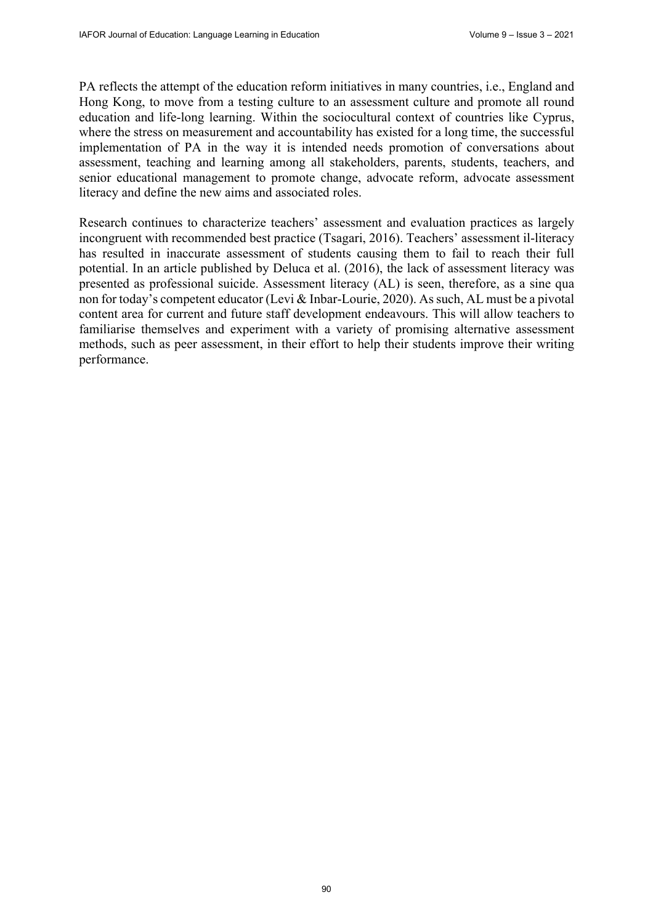PA reflects the attempt of the education reform initiatives in many countries, i.e., England and Hong Kong, to move from a testing culture to an assessment culture and promote all round education and life-long learning. Within the sociocultural context of countries like Cyprus, where the stress on measurement and accountability has existed for a long time, the successful implementation of PA in the way it is intended needs promotion of conversations about assessment, teaching and learning among all stakeholders, parents, students, teachers, and senior educational management to promote change, advocate reform, advocate assessment literacy and define the new aims and associated roles.

Research continues to characterize teachers' assessment and evaluation practices as largely incongruent with recommended best practice (Tsagari, 2016). Teachers' assessment il-literacy has resulted in inaccurate assessment of students causing them to fail to reach their full potential. In an article published by Deluca et al. (2016), the lack of assessment literacy was presented as professional suicide. Assessment literacy (AL) is seen, therefore, as a sine qua non for today's competent educator (Levi & Inbar-Lourie, 2020). As such, AL must be a pivotal content area for current and future staff development endeavours. This will allow teachers to familiarise themselves and experiment with a variety of promising alternative assessment methods, such as peer assessment, in their effort to help their students improve their writing performance.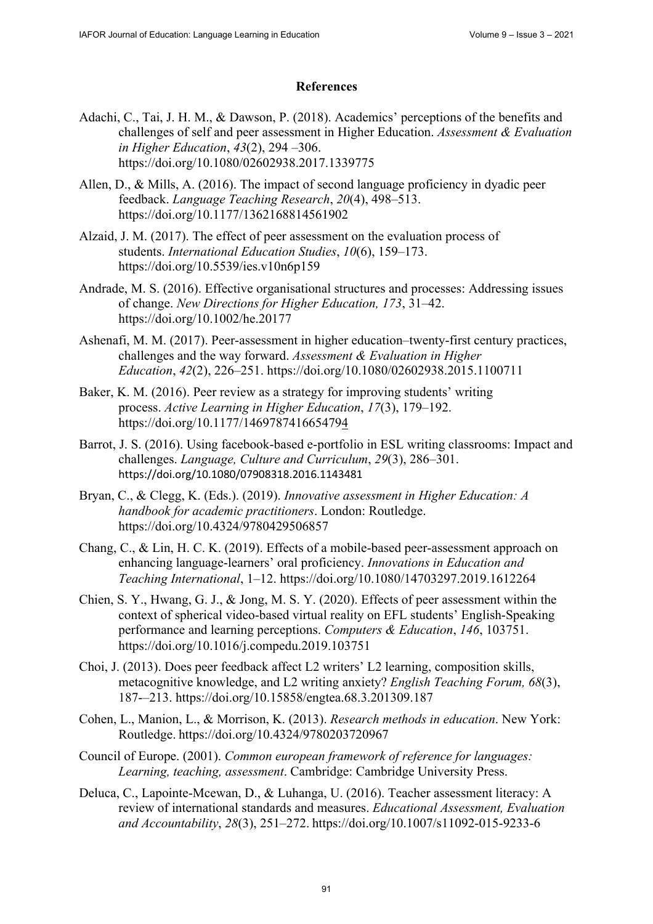# **References**

- Adachi, C., Tai, J. H. M., & Dawson, P. (2018). Academics' perceptions of the benefits and challenges of self and peer assessment in Higher Education. *Assessment & Evaluation in Higher Education*, *43*(2), 294 –306. <https://doi.org/10.1080/02602938.2017.1339775>
- Allen, D., & Mills, A. (2016). The impact of second language proficiency in dyadic peer feedback. *Language Teaching Research*, *20*(4), 498–513. <https://doi.org/10.1177/1362168814561902>
- Alzaid, J. M. (2017). The effect of peer assessment on the evaluation process of students. *International Education Studies*, *10*(6), 159–173. <https://doi.org/10.5539/ies.v10n6p159>
- Andrade, M. S. (2016). Effective organisational structures and processes: Addressing issues of change. *New Directions for Higher Education, 173*, 31–42. <https://doi.org/10.1002/he.20177>
- Ashenafi, M. M. (2017). Peer-assessment in higher education–twenty-first century practices, challenges and the way forward. *Assessment & Evaluation in Higher Education*, *42*(2), 226–251.<https://doi.org/10.1080/02602938.2015.1100711>
- Baker, K. M. (2016). Peer review as a strategy for improving students' writing process. *Active Learning in Higher Education*, *17*(3), 179–192. <https://doi.org/10.1177/1469787416654794>
- Barrot, J. S. (2016). Using facebook-based e-portfolio in ESL writing classrooms: Impact and challenges. *Language, Culture and Curriculum*, *29*(3), 286–301. <https://doi.org/10.1080/07908318.2016.1143481>
- Bryan, C., & Clegg, K. (Eds.). (2019). *Innovative assessment in Higher Education: A handbook for academic practitioners*. London: Routledge. <https://doi.org/10.4324/9780429506857>
- Chang, C., & Lin, H. C. K. (2019). Effects of a mobile-based peer-assessment approach on enhancing language-learners' oral proficiency. *Innovations in Education and Teaching International*, 1–12. <https://doi.org/10.1080/14703297.2019.1612264>
- Chien, S. Y., Hwang, G. J., & Jong, M. S. Y. (2020). Effects of peer assessment within the context of spherical video-based virtual reality on EFL students' English-Speaking performance and learning perceptions. *Computers & Education*, *146*, 103751. <https://doi.org/10.1016/j.compedu.2019.103751>
- Choi, J. (2013). Does peer feedback affect L2 writers' L2 learning, composition skills, metacognitive knowledge, and L2 writing anxiety? *English Teaching Forum, 68*(3), 187-–213. <https://doi.org/10.15858/engtea.68.3.201309.187>
- Cohen, L., Manion, L., & Morrison, K. (2013). *Research methods in education*. New York: Routledge. <https://doi.org/10.4324/9780203720967>
- Council of Europe. (2001). *Common european framework of reference for languages: Learning, teaching, assessment*. Cambridge: Cambridge University Press.
- Deluca, C., Lapointe-Mcewan, D., & Luhanga, U. (2016). Teacher assessment literacy: A review of international standards and measures. *Educational Assessment, Evaluation and Accountability*, *28*(3), 251–272. <https://doi.org/10.1007/s11092-015-9233-6>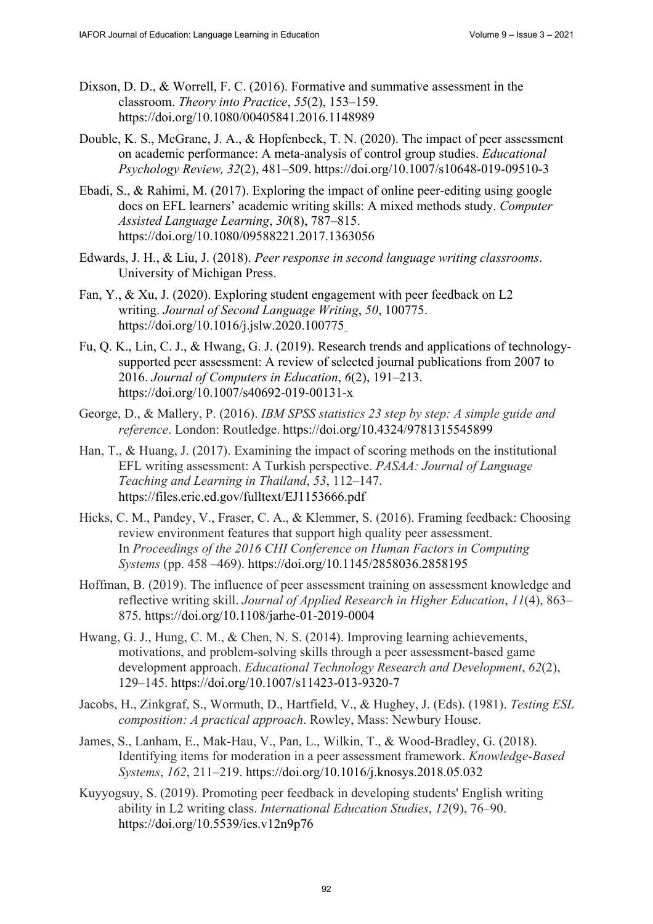- Dixson, D. D., & Worrell, F. C. (2016). Formative and summative assessment in the classroom. *Theory into Practice*, *55*(2), 153–159. <https://doi.org/10.1080/00405841.2016.1148989>
- Double, K. S., McGrane, J. A., & Hopfenbeck, T. N. (2020). The impact of peer assessment on academic performance: A meta-analysis of control group studies. *Educational Psychology Review, 32*(2), 481–509. <https://doi.org/10.1007/s10648-019-09510-3>
- Ebadi, S., & Rahimi, M. (2017). Exploring the impact of online peer-editing using google docs on EFL learners' academic writing skills: A mixed methods study. *Computer Assisted Language Learning*, *30*(8), 787–815. <https://doi.org/10.1080/09588221.2017.1363056>
- Edwards, J. H., & Liu, J. (2018). *Peer response in second language writing classrooms*. University of Michigan Press.
- Fan, Y., & Xu, J. (2020). Exploring student engagement with peer feedback on L2 writing. *Journal of Second Language Writing*, *50*, 100775. <https://doi.org/10.1016/j.jslw.2020.100775>
- Fu, Q. K., Lin, C. J., & Hwang, G. J. (2019). Research trends and applications of technologysupported peer assessment: A review of selected journal publications from 2007 to 2016. *Journal of Computers in Education*, *6*(2), 191–213. <https://doi.org/10.1007/s40692-019-00131-x>
- George, D., & Mallery, P. (2016). *IBM SPSS statistics 23 step by step: A simple guide and reference*. London: Routledge. <https://doi.org/10.4324/9781315545899>
- Han, T., & Huang, J. (2017). Examining the impact of scoring methods on the institutional EFL writing assessment: A Turkish perspective. *PASAA: Journal of Language Teaching and Learning in Thailand*, *53*, 112–147. <https://files.eric.ed.gov/fulltext/EJ1153666.pdf>
- Hicks, C. M., Pandey, V., Fraser, C. A., & Klemmer, S. (2016). Framing feedback: Choosing review environment features that support high quality peer assessment. In *Proceedings of the 2016 CHI Conference on Human Factors in Computing Systems* (pp. 458 –469). <https://doi.org/10.1145/2858036.2858195>
- Hoffman, B. (2019). The influence of peer assessment training on assessment knowledge and reflective writing skill. *Journal of Applied Research in Higher Education*, *11*(4), 863– 875. <https://doi.org/10.1108/jarhe-01-2019-0004>
- Hwang, G. J., Hung, C. M., & Chen, N. S. (2014). Improving learning achievements, motivations, and problem-solving skills through a peer assessment-based game development approach. *Educational Technology Research and Development*, *62*(2), 129–145. <https://doi.org/10.1007/s11423-013-9320-7>
- Jacobs, H., Zinkgraf, S., Wormuth, D., Hartfield, V., & Hughey, J. (Eds). (1981). *Testing ESL composition: A practical approach*. Rowley, Mass: Newbury House.
- James, S., Lanham, E., Mak-Hau, V., Pan, L., Wilkin, T., & Wood-Bradley, G. (2018). Identifying items for moderation in a peer assessment framework. *Knowledge-Based Systems*, *162*, 211–219. <https://doi.org/10.1016/j.knosys.2018.05.032>
- Kuyyogsuy, S. (2019). Promoting peer feedback in developing students' English writing ability in L2 writing class. *International Education Studies*, *12*(9), 76–90. <https://doi.org/10.5539/ies.v12n9p76>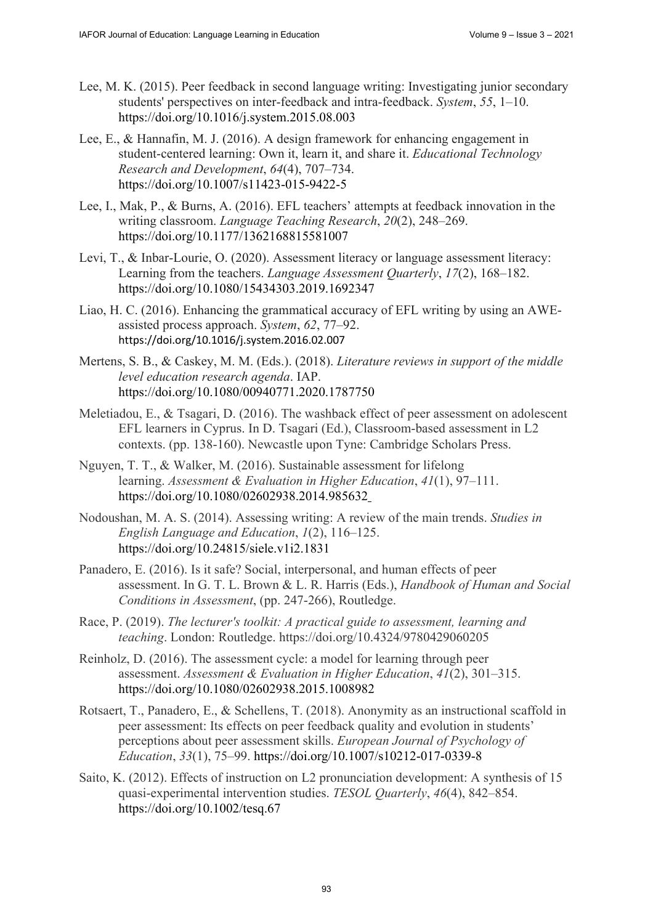- Lee, M. K. (2015). Peer feedback in second language writing: Investigating junior secondary students' perspectives on inter-feedback and intra-feedback. *System*, *55*, 1–10. <https://doi.org/10.1016/j.system.2015.08.003>
- Lee, E., & Hannafin, M. J. (2016). A design framework for enhancing engagement in student-centered learning: Own it, learn it, and share it. *Educational Technology Research and Development*, *64*(4), 707–734. <https://doi.org/10.1007/s11423-015-9422-5>
- Lee, I., Mak, P., & Burns, A. (2016). EFL teachers' attempts at feedback innovation in the writing classroom. *Language Teaching Research*, *20*(2), 248–269. <https://doi.org/10.1177/1362168815581007>
- Levi, T., & Inbar-Lourie, O. (2020). Assessment literacy or language assessment literacy: Learning from the teachers. *Language Assessment Quarterly*, *17*(2), 168–182. <https://doi.org/10.1080/15434303.2019.1692347>
- Liao, H. C. (2016). Enhancing the grammatical accuracy of EFL writing by using an AWEassisted process approach. *System*, *62*, 77–92. <https://doi.org/10.1016/j.system.2016.02.007>
- Mertens, S. B., & Caskey, M. M. (Eds.). (2018). *Literature reviews in support of the middle level education research agenda*. IAP. <https://doi.org/10.1080/00940771.2020.1787750>
- Meletiadou, E., & Tsagari, D. (2016). The washback effect of peer assessment on adolescent EFL learners in Cyprus. In D. Tsagari (Ed.), Classroom-based assessment in L2 contexts. (pp. 138-160). Newcastle upon Tyne: Cambridge Scholars Press.
- Nguyen, T. T., & Walker, M. (2016). Sustainable assessment for lifelong learning. *Assessment & Evaluation in Higher Education*, *41*(1), 97–111. <https://doi.org/10.1080/02602938.2014.985632>
- Nodoushan, M. A. S. (2014). Assessing writing: A review of the main trends. *Studies in English Language and Education*, *1*(2), 116–125. <https://doi.org/10.24815/siele.v1i2.1831>
- Panadero, E. (2016). Is it safe? Social, interpersonal, and human effects of peer assessment. In G. T. L. Brown & L. R. Harris (Eds.), *Handbook of Human and Social Conditions in Assessment*, (pp. 247-266), Routledge.
- Race, P. (2019). *The lecturer's toolkit: A practical guide to assessment, learning and teaching*. London: Routledge.<https://doi.org/10.4324/9780429060205>
- Reinholz, D. (2016). The assessment cycle: a model for learning through peer assessment. *Assessment & Evaluation in Higher Education*, *41*(2), 301–315. <https://doi.org/10.1080/02602938.2015.1008982>
- Rotsaert, T., Panadero, E., & Schellens, T. (2018). Anonymity as an instructional scaffold in peer assessment: Its effects on peer feedback quality and evolution in students' perceptions about peer assessment skills. *European Journal of Psychology of Education*, *33*(1), 75–99.<https://doi.org/10.1007/s10212-017-0339-8>
- Saito, K. (2012). Effects of instruction on L2 pronunciation development: A synthesis of 15 quasi-experimental intervention studies. *TESOL Quarterly*, *46*(4), 842–854. <https://doi.org/10.1002/tesq.67>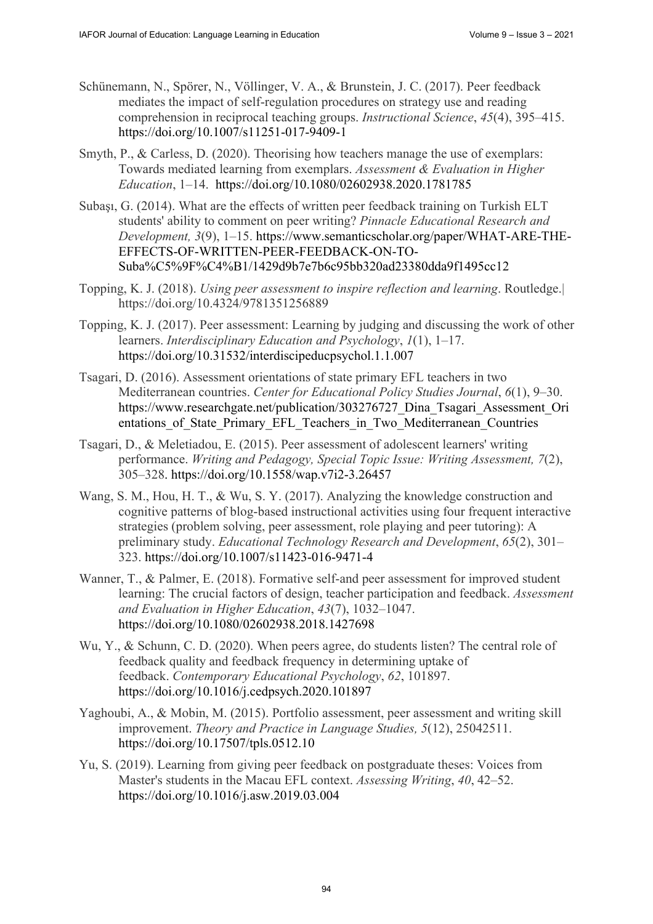- Schünemann, N., Spörer, N., Völlinger, V. A., & Brunstein, J. C. (2017). Peer feedback mediates the impact of self-regulation procedures on strategy use and reading comprehension in reciprocal teaching groups. *Instructional Science*, *45*(4), 395–415. <https://doi.org/10.1007/s11251-017-9409-1>
- Smyth, P., & Carless, D. (2020). Theorising how teachers manage the use of exemplars: Towards mediated learning from exemplars. *Assessment & Evaluation in Higher Education*, 1–14. <https://doi.org/10.1080/02602938.2020.1781785>
- Subaşı, G. (2014). What are the effects of written peer feedback training on Turkish ELT students' ability to comment on peer writing? *Pinnacle Educational Research and Development, 3*[\(9\), 1–15. https://www.semanticscholar.org/paper/WHAT-ARE-THE-](https://www.semanticscholar.org/paper/WHAT-ARE-THE-EFFECTS-OF-WRITTEN-PEER-FEEDBACK-ON-TO-Suba%C5%9F%C4%B1/1429d9b7e7b6c95bb320ad23380dda9f1495cc12)EFFECTS[-OF-WRITTEN-PEER-FEEDBACK-ON-TO](https://www.semanticscholar.org/paper/WHAT-ARE-THE-EFFECTS-OF-WRITTEN-PEER-FEEDBACK-ON-TO-Suba%C5%9F%C4%B1/1429d9b7e7b6c95bb320ad23380dda9f1495cc12)-[Suba%C5%9F%C4%B1/1429d9b7e7b6c95bb320ad23380dda9f1495cc12](https://www.semanticscholar.org/paper/WHAT-ARE-THE-EFFECTS-OF-WRITTEN-PEER-FEEDBACK-ON-TO-Suba%C5%9F%C4%B1/1429d9b7e7b6c95bb320ad23380dda9f1495cc12)
- Topping, K. J. (2018). *Using peer assessment to inspire reflection and learning*. Routledge.| <https://doi.org/10.4324/9781351256889>
- Topping, K. J. (2017). Peer assessment: Learning by judging and discussing the work of other learners. *Interdisciplinary Education and Psychology*, *1*(1), 1–17. <https://doi.org/10.31532/interdiscipeducpsychol.1.1.007>
- Tsagari, D. (2016). Assessment orientations of state primary EFL teachers in two Mediterranean countries. *Center for Educational Policy Studies Journal*, *6*(1), 9–30. https://www.researchgate.net/publication/303276727 Dina Tsagari Assessment Ori entations of State Primary EFL Teachers in Two Mediterranean Countries
- Tsagari, D., & Meletiadou, E. (2015). Peer assessment of adolescent learners' writing performance. *Writing and Pedagogy, Special Topic Issue: Writing Assessment, 7*(2), 305–328. <https://doi.org/10.1558/wap.v7i2-3.26457>
- Wang, S. M., Hou, H. T., & Wu, S. Y. (2017). Analyzing the knowledge construction and cognitive patterns of blog-based instructional activities using four frequent interactive strategies (problem solving, peer assessment, role playing and peer tutoring): A preliminary study. *Educational Technology Research and Development*, *65*(2), 301– 323. <https://doi.org/10.1007/s11423-016-9471-4>
- Wanner, T., & Palmer, E. (2018). Formative self-and peer assessment for improved student learning: The crucial factors of design, teacher participation and feedback. *Assessment and Evaluation in Higher Education*, *43*(7), 1032–1047. <https://doi.org/10.1080/02602938.2018.1427698>
- Wu, Y., & Schunn, C. D. (2020). When peers agree, do students listen? The central role of feedback quality and feedback frequency in determining uptake of feedback. *Contemporary Educational Psychology*, *62*, 101897. <https://doi.org/10.1016/j.cedpsych.2020.101897>
- Yaghoubi, A., & Mobin, M. (2015). Portfolio assessment, peer assessment and writing skill improvement. *Theory and Practice in Language Studies, 5*(12), 25042511. <https://doi.org/10.17507/tpls.0512.10>
- Yu, S. (2019). Learning from giving peer feedback on postgraduate theses: Voices from Master's students in the Macau EFL context. *Assessing Writing*, *40*, 42–52. <https://doi.org/10.1016/j.asw.2019.03.004>